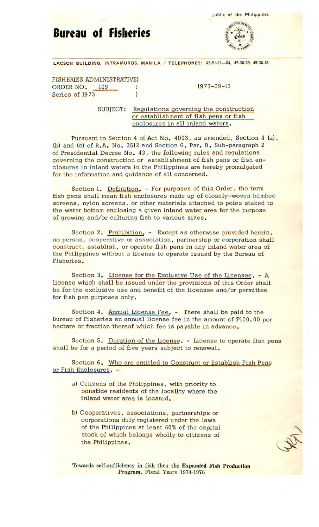**Bureau of Fisheries** 



LACSON BUILDING, INTRAMUROS, MANILA / TELEPHONES: 49-91-61-64, 49-36-39, 49-36-18

FISHERIES ADMINISTRATIVE) ORDER NO. 109 : 1973-09-13 Series of 1973

SUBJECT: Regulations governing the construction or establishment of fish pens or fish enclosures in all inland waters.

Pursuant to Section 4 of Act No. 4003, as amended, Section 4 (a), (b) and (c) of R.A. No. 3512 and Section 6, Par. B, Sub-paragraph 2 of Presidential Decree No. 43, the following rules and regulations governing the construction or establishment of fish pens or fish enclosures in inland waters in the Philippines are hereby promulgated for the information and guidance of all concerned.

Section 1. Definition. - For purposes of this Order, the term fish pens shall mean fish enclosures made up of closely-woven bamboo screens, nylon screens, or other materials attached to poles staked to the water bottom enclosing a given inland water area for the purpose of growing and/or culturing fish to various sizes.

Section 2. Prohibition. - Except as otherwise provided herein, no person, cooperative or association, partnership or corporation shall construct, establish, or operate fish pens in any inland water area of the Philippines without a license to operate issued by the Bureau of Fisheries.

Section 3. License for the Exclusive Use of the Licensee. - A license which shall be issued under the provisions of this Order shall be for the exclusive use and benefit of the licensee and/or permittee for fish pen purposes only.

Section 4. Annual License Fee. - There shall be paid to the Bureau of Fisheries an annual license fee in the amount of P100.00 per hectare or fraction thereof which fee is payable in advance.

Section S. Duration of the license. - License to operate fish pens shall be for a period of five years subject to renewal.

Section 6. Who are entitled to Construct or Establish Fish Pens or Fish Enclosures. -

- a) Citizens of the Philippines, with priority to bonafide residents of the locality where the inland water area is located.
- b) Cooperatives, associations, partnerships or corporations duly registered under the laws of the Philippines at least 60% of the capital stock of which belongs wholly to citizens of the Philippines.

Towards self-sufficiency in fish thru the **Expanded Fish Production**  Program, Fiscal Years 1974-1976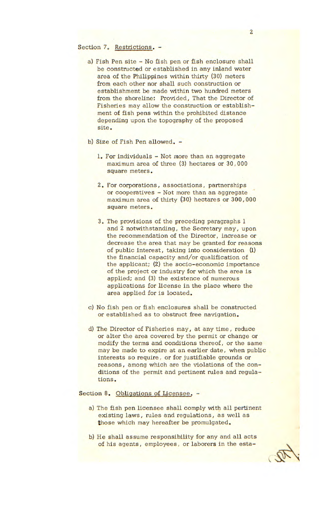## Section 7. Restrictions. -

- a) Fish Pen site No fish pen or fish enclosure shall be constructed or established in any inland water area of the Philippines within thirty (30) meters from each other nor shall such construction or establishment be made within two hundred meters from the shoreline: Provided, That the Director of Fisheries may allow the construction or establishment of fish pens within the prohibited distance depending upon the topography of the proposed site.
- b) Size of Fish Pen allowed.
	- 1. For individuals Not more than an aggregate maximum area of three (3) hectares or 30, 000 square meters.
	- 2. For corporations, associations, partnerships or cooperatives - Not more than an aggregate maximum area of thirty (30) hectares or 300,000 square meters.
	- 3. The provisions of the preceding paragraphs 1 and 2 notwithstanding, the Secretary may, upon the recommendation of the Director, increase or decrease the area that may be granted for reasons of public interest, taking into consideration (1) the financial capacity and/or qualification of the applicant; (2) the socio-economic importance of the project or industry for which the area is applied; and (3) the existence of numerous applications for license in the place where the area applied for is located.
- c) No fish pen or fish enclosures shall be constructed or established as to obstruct free navigation.
- d) The Director of Fisheries may, at any time, reduce or alter the area covered by the permit or change or modify the terms and conditions thereof, or the same may be made to expire at an earlier date, when public interests so require, or for justifiable grounds or reasons, among which are the violations of the conditions of the permit and pertinent rules and regulations.

## Section 8. Obligations of Licensee. -

- a) The fish pen licensee shall comply with all pertinent existing laws, rules and regulations, as well as those which may hereafter be promulgated.
- b) He shall assume responsibility for any and all acts of his agents, employees, or laborers in the esta-